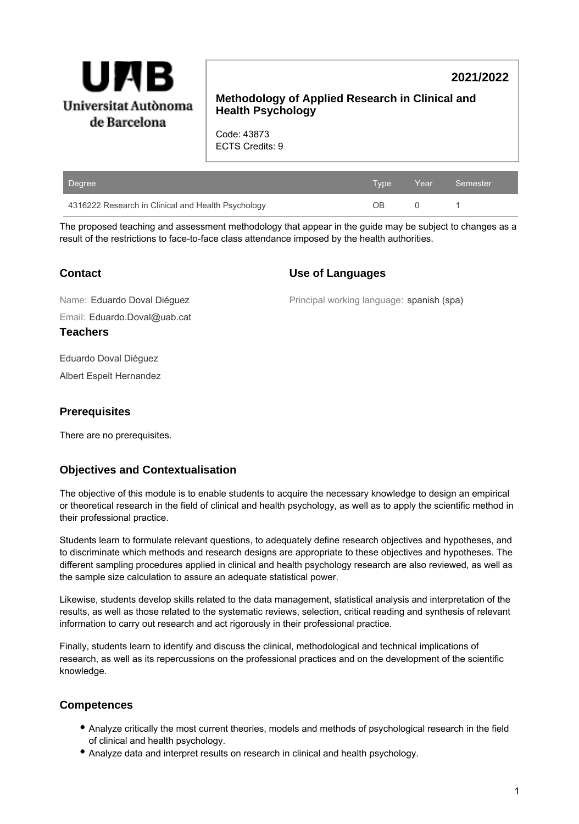

# **2021/2022**

## **Methodology of Applied Research in Clinical and Health Psychology**

Code: 43873 ECTS Credits: 9

| Degree                                             | Tvpe ' | $\angle$ Year $\angle$ | Semester |
|----------------------------------------------------|--------|------------------------|----------|
| 4316222 Research in Clinical and Health Psychology | ΩR     |                        |          |

The proposed teaching and assessment methodology that appear in the guide may be subject to changes as a result of the restrictions to face-to-face class attendance imposed by the health authorities.

| <b>Contact</b> |
|----------------|
|----------------|

### **Use of Languages**

Principal working language: spanish (spa)

Email: Eduardo.Doval@uab.cat Name: Eduardo Doval Diéguez

**Teachers**

Eduardo Doval Diéguez

Albert Espelt Hernandez

## **Prerequisites**

There are no prerequisites.

## **Objectives and Contextualisation**

The objective of this module is to enable students to acquire the necessary knowledge to design an empirical or theoretical research in the field of clinical and health psychology, as well as to apply the scientific method in their professional practice.

Students learn to formulate relevant questions, to adequately define research objectives and hypotheses, and to discriminate which methods and research designs are appropriate to these objectives and hypotheses. The different sampling procedures applied in clinical and health psychology research are also reviewed, as well as the sample size calculation to assure an adequate statistical power.

Likewise, students develop skills related to the data management, statistical analysis and interpretation of the results, as well as those related to the systematic reviews, selection, critical reading and synthesis of relevant information to carry out research and act rigorously in their professional practice.

Finally, students learn to identify and discuss the clinical, methodological and technical implications of research, as well as its repercussions on the professional practices and on the development of the scientific knowledge.

## **Competences**

- Analyze critically the most current theories, models and methods of psychological research in the field of clinical and health psychology.
- Analyze data and interpret results on research in clinical and health psychology.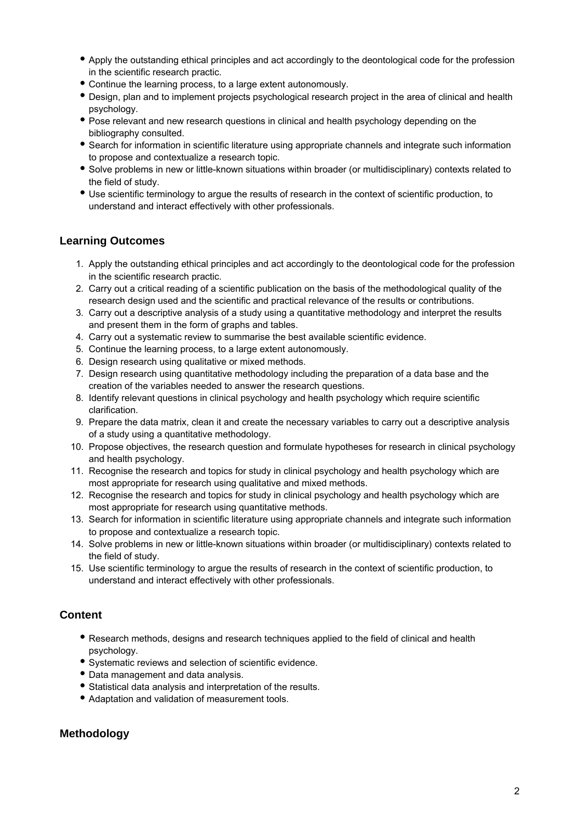- Apply the outstanding ethical principles and act accordingly to the deontological code for the profession in the scientific research practic.
- Continue the learning process, to a large extent autonomously.
- Design, plan and to implement projects psychological research project in the area of clinical and health psychology.
- Pose relevant and new research questions in clinical and health psychology depending on the bibliography consulted.
- Search for information in scientific literature using appropriate channels and integrate such information to propose and contextualize a research topic.
- Solve problems in new or little-known situations within broader (or multidisciplinary) contexts related to the field of study.
- Use scientific terminology to argue the results of research in the context of scientific production, to understand and interact effectively with other professionals.

### **Learning Outcomes**

- 1. Apply the outstanding ethical principles and act accordingly to the deontological code for the profession in the scientific research practic.
- 2. Carry out a critical reading of a scientific publication on the basis of the methodological quality of the research design used and the scientific and practical relevance of the results or contributions.
- 3. Carry out a descriptive analysis of a study using a quantitative methodology and interpret the results and present them in the form of graphs and tables.
- 4. Carry out a systematic review to summarise the best available scientific evidence.
- 5. Continue the learning process, to a large extent autonomously.
- 6. Design research using qualitative or mixed methods.
- 7. Design research using quantitative methodology including the preparation of a data base and the creation of the variables needed to answer the research questions.
- 8. Identify relevant questions in clinical psychology and health psychology which require scientific clarification.
- 9. Prepare the data matrix, clean it and create the necessary variables to carry out a descriptive analysis of a study using a quantitative methodology.
- 10. Propose objectives, the research question and formulate hypotheses for research in clinical psychology and health psychology.
- 11. Recognise the research and topics for study in clinical psychology and health psychology which are most appropriate for research using qualitative and mixed methods.
- 12. Recognise the research and topics for study in clinical psychology and health psychology which are most appropriate for research using quantitative methods.
- 13. Search for information in scientific literature using appropriate channels and integrate such information to propose and contextualize a research topic.
- 14. Solve problems in new or little-known situations within broader (or multidisciplinary) contexts related to the field of study.
- 15. Use scientific terminology to argue the results of research in the context of scientific production, to understand and interact effectively with other professionals.

### **Content**

- Research methods, designs and research techniques applied to the field of clinical and health psychology.
- Systematic reviews and selection of scientific evidence.
- Data management and data analysis.
- Statistical data analysis and interpretation of the results.
- Adaptation and validation of measurement tools.

## **Methodology**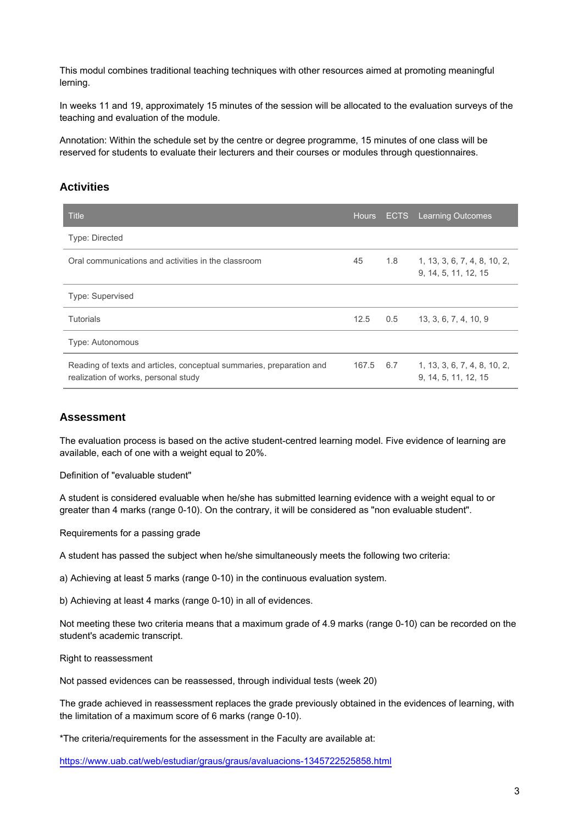This modul combines traditional teaching techniques with other resources aimed at promoting meaningful lerning.

In weeks 11 and 19, approximately 15 minutes of the session will be allocated to the evaluation surveys of the teaching and evaluation of the module.

Annotation: Within the schedule set by the centre or degree programme, 15 minutes of one class will be reserved for students to evaluate their lecturers and their courses or modules through questionnaires.

#### **Activities**

| <b>Title</b>                                                                                                 | <b>Hours</b> |     | <b>ECTS</b> Learning Outcomes                        |  |  |
|--------------------------------------------------------------------------------------------------------------|--------------|-----|------------------------------------------------------|--|--|
| <b>Type: Directed</b>                                                                                        |              |     |                                                      |  |  |
| Oral communications and activities in the classroom                                                          | 45           | 1.8 | 1, 13, 3, 6, 7, 4, 8, 10, 2,<br>9, 14, 5, 11, 12, 15 |  |  |
| <b>Type: Supervised</b>                                                                                      |              |     |                                                      |  |  |
| <b>Tutorials</b>                                                                                             | 12.5         | 0.5 | 13, 3, 6, 7, 4, 10, 9                                |  |  |
| Type: Autonomous                                                                                             |              |     |                                                      |  |  |
| Reading of texts and articles, conceptual summaries, preparation and<br>realization of works, personal study | 167.5 6.7    |     | 1, 13, 3, 6, 7, 4, 8, 10, 2,<br>9, 14, 5, 11, 12, 15 |  |  |

#### **Assessment**

The evaluation process is based on the active student-centred learning model. Five evidence of learning are available, each of one with a weight equal to 20%.

Definition of "evaluable student"

A student is considered evaluable when he/she has submitted learning evidence with a weight equal to or greater than 4 marks (range 0-10). On the contrary, it will be considered as "non evaluable student".

Requirements for a passing grade

A student has passed the subject when he/she simultaneously meets the following two criteria:

a) Achieving at least 5 marks (range 0-10) in the continuous evaluation system.

b) Achieving at least 4 marks (range 0-10) in all of evidences.

Not meeting these two criteria means that a maximum grade of 4.9 marks (range 0-10) can be recorded on the student's academic transcript.

Right to reassessment

Not passed evidences can be reassessed, through individual tests (week 20)

The grade achieved in reassessment replaces the grade previously obtained in the evidences of learning, with the limitation of a maximum score of 6 marks (range 0-10).

\*The criteria/requirements for the assessment in the Faculty are available at:

<https://www.uab.cat/web/estudiar/graus/graus/avaluacions-1345722525858.html>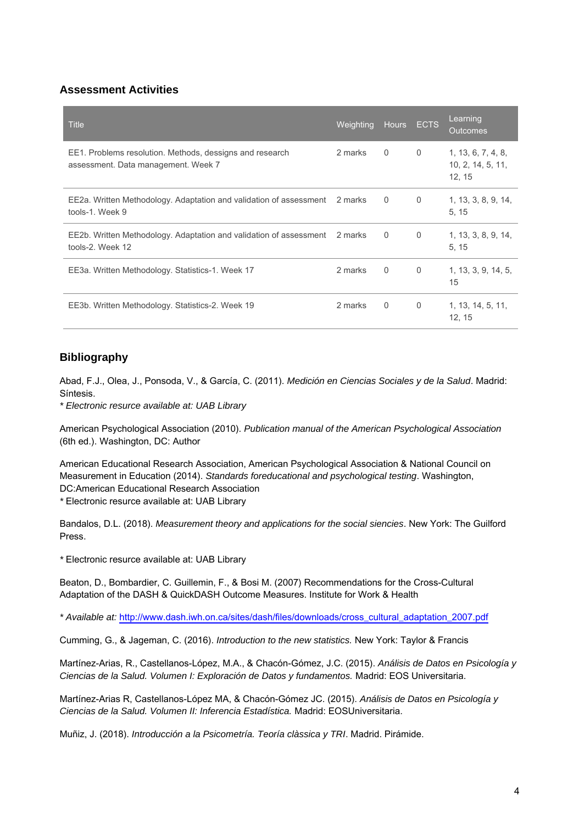## **Assessment Activities**

| <b>Title</b>                                                                                    | Weighting | <b>Hours</b> | <b>ECTS</b> | Learning<br><b>Outcomes</b>                       |
|-------------------------------------------------------------------------------------------------|-----------|--------------|-------------|---------------------------------------------------|
| EE1. Problems resolution. Methods, dessigns and research<br>assessment. Data management. Week 7 | 2 marks   | 0            | $\mathbf 0$ | 1, 13, 6, 7, 4, 8,<br>10, 2, 14, 5, 11,<br>12, 15 |
| EE2a. Written Methodology. Adaptation and validation of assessment 2 marks<br>tools-1. Week 9   |           | 0            | 0           | 1, 13, 3, 8, 9, 14,<br>5, 15                      |
| EE2b. Written Methodology. Adaptation and validation of assessment 2 marks<br>tools-2. Week 12  |           | 0            | 0           | 1, 13, 3, 8, 9, 14,<br>5, 15                      |
| EE3a. Written Methodology. Statistics-1. Week 17                                                | 2 marks   | 0            | $\Omega$    | 1, 13, 3, 9, 14, 5,<br>15                         |
| EE3b. Written Methodology. Statistics-2. Week 19                                                | 2 marks   | $\Omega$     | $\Omega$    | 1, 13, 14, 5, 11,<br>12, 15                       |

## **Bibliography**

Abad, F.J., Olea, J., Ponsoda, V., & García, C. (2011). Medición en Ciencias Sociales y de la Salud. Madrid: Síntesis.

\* Electronic resurce available at: UAB Library

American Psychological Association (2010). Publication manual of the American Psychological Association (6th ed.). Washington, DC: Author

American Educational Research Association, American Psychological Association & National Council on Measurement in Education (2014). Standards foreducational and psychological testing. Washington, DC:American Educational Research Association \* Electronic resurce available at: UAB Library

Bandalos, D.L. (2018). Measurement theory and applications for the social siencies. New York: The Guilford Press.

\* Electronic resurce available at: UAB Library

Beaton, D., Bombardier, C. Guillemin, F., & Bosi M. (2007) Recommendations for the Cross-Cultural Adaptation of the DASH & QuickDASH Outcome Measures. Institute for Work & Health

\* Available at: [http://www.dash.iwh.on.ca/sites/dash/files/downloads/cross\\_cultural\\_adaptation\\_2007.pdf](http://www.dash.iwh.on.ca/sites/dash/files/downloads/cross_cultural_adaptation_2007.pdf)

Cumming, G., & Jageman, C. (2016). Introduction to the new statistics. New York: Taylor & Francis

Martínez-Arias, R., Castellanos-López, M.A., & Chacón-Gómez, J.C. (2015). Análisis de Datos en Psicología y Ciencias de la Salud. Volumen I: Exploración de Datos y fundamentos. Madrid: EOS Universitaria.

Martínez-Arias R, Castellanos-López MA, & Chacón-Gómez JC. (2015). Análisis de Datos en Psicología y Ciencias de la Salud. Volumen II: Inferencia Estadística. Madrid: EOSUniversitaria.

Muñiz, J. (2018). Introducción a la Psicometría. Teoría clàssica y TRI. Madrid. Pirámide.